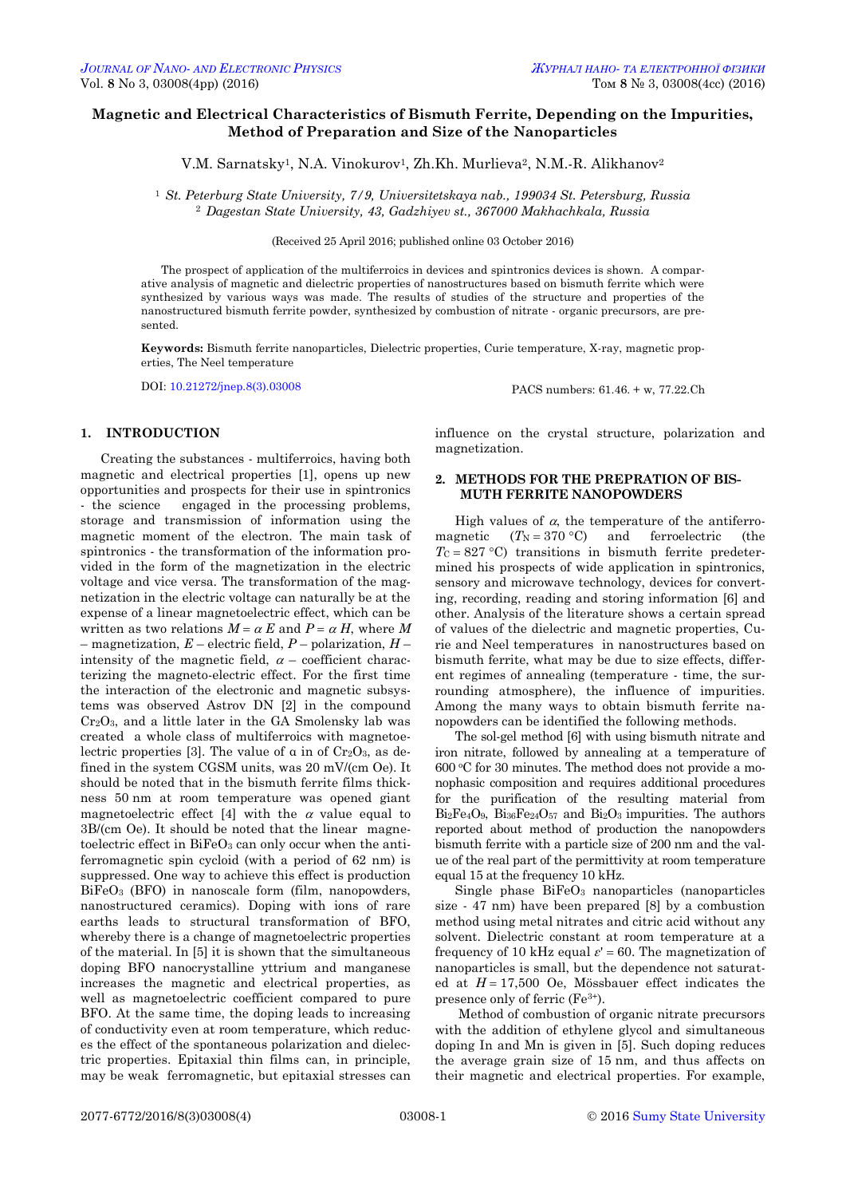# **Magnetic and Electrical Characteristics of Bismuth Ferrite, Depending on the Impurities, Method of Preparation and Size of the Nanoparticles**

V.M. Sarnatsky<sup>1</sup>, N.A. Vinokurov<sup>1</sup>, Zh.Kh. Murlieva<sup>2</sup>, N.M.-R. Alikhanov<sup>2</sup>

<sup>1</sup> *St. Peterburg State University, 7/9, Universitetskaya nab., 199034 St. Petersburg, Russia* <sup>2</sup> *Dagestan State University, 43, Gadzhiyev st., 367000 Makhachkala, Russia* 

(Received 25 April 2016; published online 03 October 2016)

The prospect of application of the multiferroics in devices and spintronics devices is shown. A comparative analysis of magnetic and dielectric properties of nanostructures based on bismuth ferrite which were synthesized by various ways was made. The results of studies of the structure and properties of the nanostructured bismuth ferrite powder, synthesized by combustion of nitrate - organic precursors, are presented.

**Keywords:** Bismuth ferrite nanoparticles, Dielectric properties, Curie temperature, X-ray, magnetic properties, The Neel temperature

DOI[: 10.21272/jnep.8\(3\).03008](http://dx.doi.org/10.21272/jnep.8(3).03008) PACS numbers: 61.46. + w, 77.22.Ch

## **1. INTRODUCTION**

Creating the substances - multiferroics, having both magnetic and electrical properties [1], opens up new opportunities and prospects for their use in spintronics - the science engaged in the processing problems, storage and transmission of information using the magnetic moment of the electron. The main task of spintronics - the transformation of the information provided in the form of the magnetization in the electric voltage and vice versa. The transformation of the magnetization in the electric voltage can naturally be at the expense of a linear magnetoelectric effect, which can be written as two relations  $M = \alpha E$  and  $P = \alpha H$ , where M – magnetization, *E* – electric field, *P* – polarization, *H* – intensity of the magnetic field,  $\alpha$  – coefficient characterizing the magneto-electric effect. For the first time the interaction of the electronic and magnetic subsystems was observed Astrov DN [2] in the compound Cr2O3, and a little later in the GA Smolensky lab was created a whole class of multiferroics with magnetoelectric properties [3]. The value of  $\alpha$  in of Cr<sub>2</sub>O<sub>3</sub>, as defined in the system CGSM units, was 20 mV/(cm Oe). It should be noted that in the bismuth ferrite films thickness 50 nm at room temperature was opened giant magnetoelectric effect [4] with the  $\alpha$  value equal to 3B/(cm Oe). It should be noted that the linear magnetoelectric effect in BiFeO<sub>3</sub> can only occur when the antiferromagnetic spin cycloid (with a period of 62 nm) is suppressed. One way to achieve this effect is production BiFeO<sup>3</sup> (BFO) in nanoscale form (film, nanopowders, nanostructured ceramics). Doping with ions of rare earths leads to structural transformation of BFO, whereby there is a change of magnetoelectric properties of the material. In [5] it is shown that the simultaneous doping BFO nanocrystalline yttrium and manganese increases the magnetic and electrical properties, as well as magnetoelectric coefficient compared to pure BFO. At the same time, the doping leads to increasing of conductivity even at room temperature, which reduces the effect of the spontaneous polarization and dielectric properties. Epitaxial thin films can, in principle, may be weak ferromagnetic, but epitaxial stresses can

influence on the crystal structure, polarization and magnetization.

#### **2. METHODS FOR THE PREPRATION OF BIS-MUTH FERRITE NANOPOWDERS**

High values of  $\alpha$ , the temperature of the antiferromagnetic  $(T_N = 370 \degree C)$  and ferroelectric (the  $T_c = 827 \degree C$ ) transitions in bismuth ferrite predetermined his prospects of wide application in spintronics, sensory and microwave technology, devices for converting, recording, reading and storing information [6] and other. Analysis of the literature shows a certain spread of values of the dielectric and magnetic properties, Curie and Neel temperatures in nanostructures based on bismuth ferrite, what may be due to size effects, different regimes of annealing (temperature - time, the surrounding atmosphere), the influence of impurities. Among the many ways to obtain bismuth ferrite nanopowders can be identified the following methods.

The sol-gel method [6] with using bismuth nitrate and iron nitrate, followed by annealing at a temperature of 600 <sup>o</sup>C for 30 minutes. The method does not provide a monophasic composition and requires additional procedures for the purification of the resulting material from  $Bi<sub>2</sub>Fe<sub>4</sub>O<sub>9</sub>$ ,  $Bi<sub>36</sub>Fe<sub>24</sub>O<sub>57</sub>$  and  $Bi<sub>2</sub>O<sub>3</sub>$  impurities. The authors reported about method of production the nanopowders bismuth ferrite with a particle size of 200 nm and the value of the real part of the permittivity at room temperature equal 15 at the frequency 10 kHz.

Single phase BiFeO<sup>3</sup> nanoparticles (nanoparticles size - 47 nm) have been prepared [8] by a combustion method using metal nitrates and citric acid without any solvent. Dielectric constant at room temperature at a frequency of 10 kHz equal  $\varepsilon$ ' = 60. The magnetization of nanoparticles is small, but the dependence not saturated at  $H = 17,500$  Oe, Mössbauer effect indicates the presence only of ferric (Fe3+).

<span id="page-0-3"></span><span id="page-0-2"></span><span id="page-0-1"></span><span id="page-0-0"></span>Method of combustion of organic nitrate precursors with the addition of ethylene glycol and simultaneous doping In and Mn is given in [5]. Such doping reduces the average grain size of 15 nm, and thus affects on their magnetic and electrical properties. For example,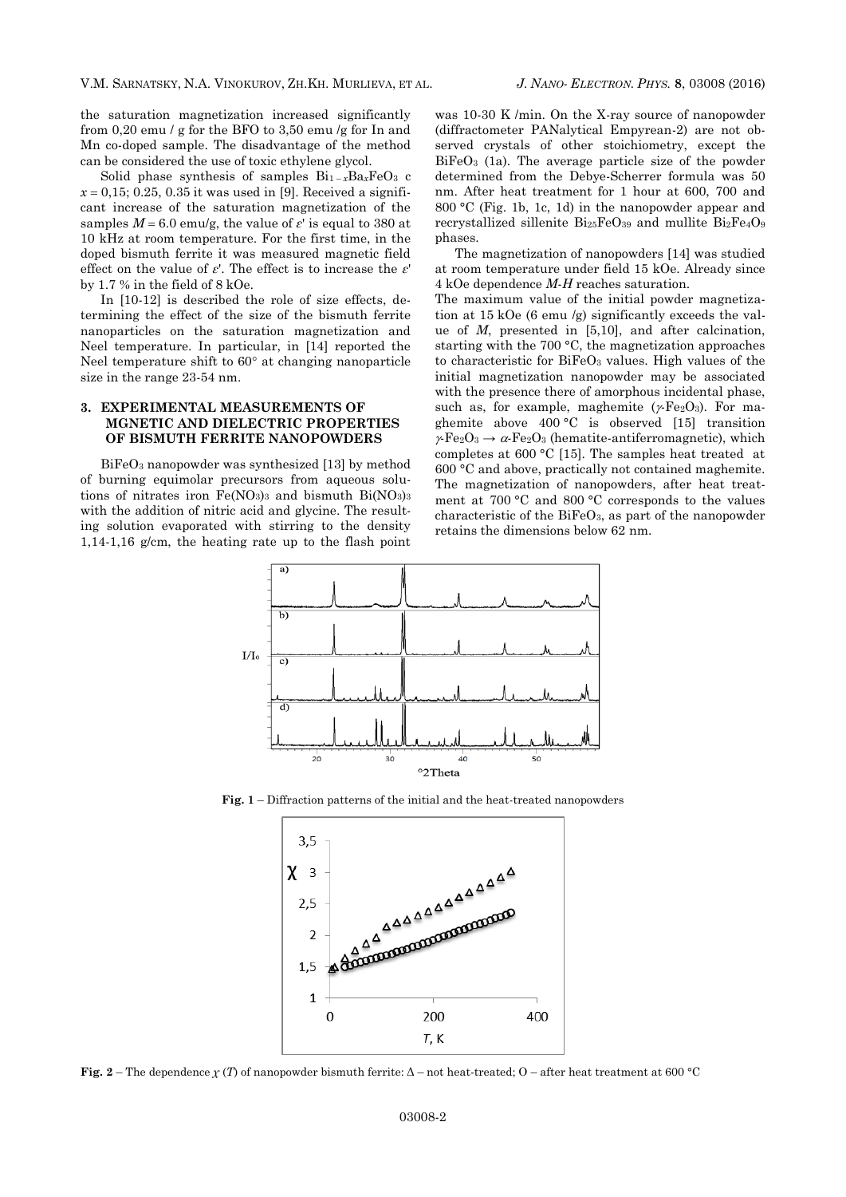the saturation magnetization increased significantly from 0,20 emu / g for the BFO to 3,50 emu /g for In and Mn co-doped sample. The disadvantage of the method can be considered the use of toxic ethylene glycol.

Solid phase synthesis of samples  $Bi_{1-x}Ba_xFeO_3$  c  $x = 0.15$ ; 0.25, 0.35 it was used in [9]. Received a significant increase of the saturation magnetization of the samples  $M = 6.0$  emu/g, the value of  $\varepsilon$ ' is equal to 380 at 10 kHz at room temperature. For the first time, in the doped bismuth ferrite it was measured magnetic field effect on the value of *ε*'. The effect is to increase the *ε*' by 1.7 % in the field of 8 kOe.

In [10-12] is described the role of size effects, determining the effect of the size of the bismuth ferrite nanoparticles on the saturation magnetization and Neel temperature. In particular, in [14] reported the Neel temperature shift to  $60^\circ$  at changing nanoparticle size in the range 23-54 nm.

## **3. EXPERIMENTAL MEASUREMENTS OF MGNETIC AND DIELECTRIC PROPERTIES OF BISMUTH FERRITE NANOPOWDERS**

BiFeO<sup>3</sup> nanopowder was synthesized [13] by method of burning equimolar precursors from aqueous solutions of nitrates iron  $Fe(NO_3)_3$  and bismuth  $Bi(NO_3)_3$ with the addition of nitric acid and glycine. The resulting solution evaporated with stirring to the density 1,14-1,16 g/cm, the heating rate up to the flash point

was 10-30 K /min. On the X-ray source of nanopowder (diffractometer PANalytical Empyrean-2) are not observed crystals of other stoichiometry, except the BiFeO<sup>3</sup> (1a). The average particle size of the powder determined from the Debye-Scherrer formula was 50 nm. After heat treatment for 1 hour at 600, 700 and 800 °C (Fig. 1b, 1c, 1d) in the nanopowder appear and recrystallized sillenite Bi25FeO<sup>39</sup> and mullite Bi2Fe4O<sup>9</sup> phases.

The magnetization of nanopowders [14] was studied at room temperature under field 15 kOe. Already since 4 kOe dependence *M*-*H* reaches saturation.

The maximum value of the initial powder magnetization at 15 kOe (6 emu /g) significantly exceeds the value of *M*, presented in [5,10], and after calcination, starting with the 700 °C, the magnetization approaches to characteristic for BiFeO<sup>3</sup> values. High values of the initial magnetization nanopowder may be associated with the presence there of amorphous incidental phase, such as, for example, maghemite  $(*Fe<sub>2</sub>O<sub>3</sub>)$ . For maghemite above 400 °C is observed [15] transition  $\gamma$ -Fe<sub>2</sub>O<sub>3</sub>  $\rightarrow \alpha$ -Fe<sub>2</sub>O<sub>3</sub> (hematite-antiferromagnetic), which completes at 600 °C [15]. The samples heat treated at 600 °C and above, practically not contained maghemite. The magnetization of nanopowders, after heat treatment at 700 °C and 800 °C corresponds to the values characteristic of the BiFeO3, as part of the nanopowder retains the dimensions below 62 nm.



**Fig. 1** – Diffraction patterns of the initial and the heat-treated nanopowders



**Fig.** 2 – The dependence  $\chi(T)$  of nanopowder bismuth ferrite:  $\Delta$  – not heat-treated; O – after heat treatment at 600 °C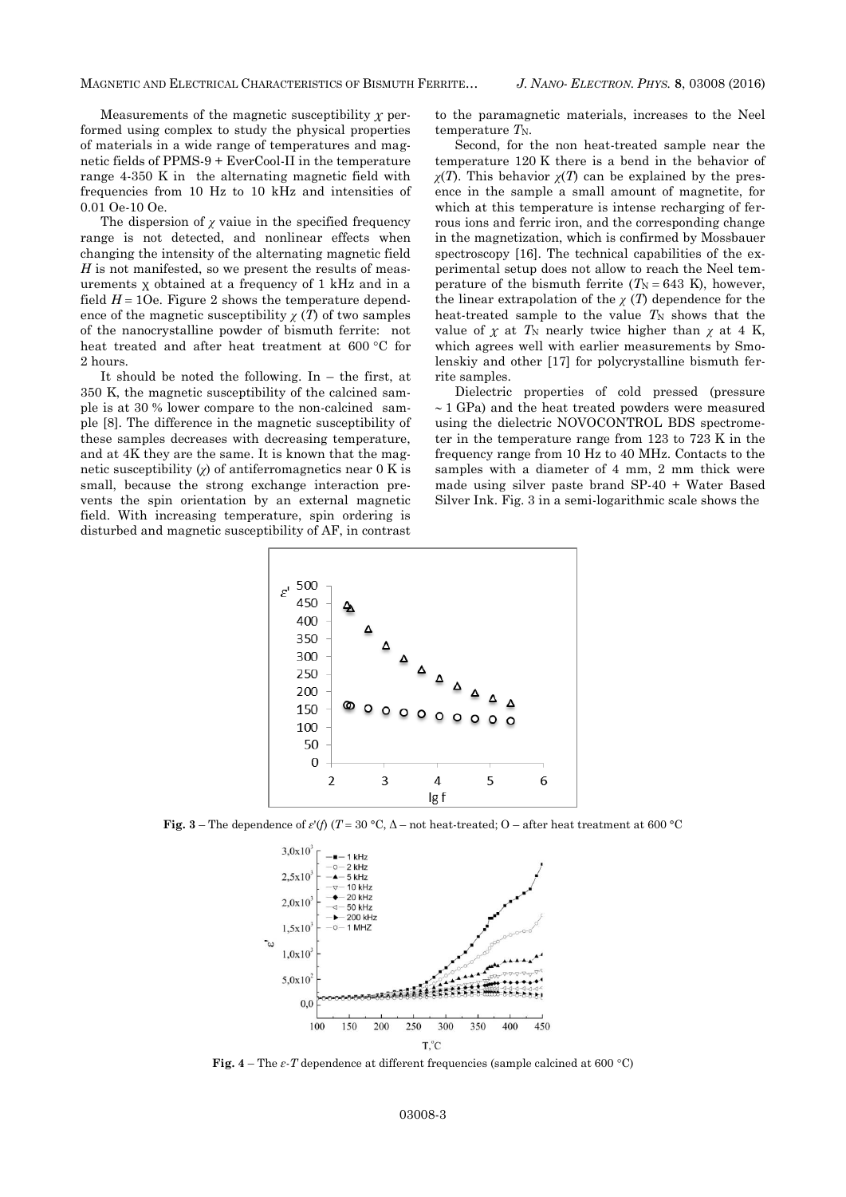#### MAGNETIC AND ELECTRICAL CHARACTERISTICS OF BISMUTH FERRITE… *J. NANO- ELECTRON. PHYS.* **[8](#page-0-2)**, [03008](#page-0-2) [\(2016\)](#page-0-2)

Measurements of the magnetic susceptibility  $\chi$  performed using complex to study the physical properties of materials in a wide range of temperatures and magnetic fields of PPMS-9 + EverCool-II in the temperature range 4-350 K in the alternating magnetic field with frequencies from 10 Hz to 10 kHz and intensities of 0.01 Oe-10 Oe.

The dispersion of  $\chi$  vaiue in the specified frequency range is not detected, and nonlinear effects when changing the intensity of the alternating magnetic field *H* is not manifested, so we present the results of measurements χ obtained at a frequency of 1 kHz and in a field  $H = 10e$ . Figure 2 shows the temperature dependence of the magnetic susceptibility  $\chi(T)$  of two samples of the nanocrystalline powder of bismuth ferrite: not heat treated and after heat treatment at 600 °C for 2 hours.

It should be noted the following. In  $-$  the first, at 350 K, the magnetic susceptibility of the calcined sample is at 30 % lower compare to the non-calcined sample [8]. The difference in the magnetic susceptibility of these samples decreases with decreasing temperature, and at 4K they are the same. It is known that the magnetic susceptibility  $\chi$  of antiferromagnetics near 0 K is small, because the strong exchange interaction prevents the spin orientation by an external magnetic field. With increasing temperature, spin ordering is disturbed and magnetic susceptibility of AF, in contrast

to the paramagnetic materials, increases to the Neel temperature  $T_N$ .

Second, for the non heat-treated sample near the temperature 120 K there is a bend in the behavior of  $\chi(T)$ . This behavior  $\chi(T)$  can be explained by the presence in the sample a small amount of magnetite, for which at this temperature is intense recharging of ferrous ions and ferric iron, and the corresponding change in the magnetization, which is confirmed by Mossbauer spectroscopy [16]. The technical capabilities of the experimental setup does not allow to reach the Neel temperature of the bismuth ferrite  $(T_N = 643 \text{ K})$ , however, the linear extrapolation of the  $\chi(T)$  dependence for the heat-treated sample to the value  $T_N$  shows that the value of  $\chi$  at  $T_N$  nearly twice higher than  $\chi$  at 4 K, which agrees well with earlier measurements by Smolenskiy and other [17] for polycrystalline bismuth ferrite samples.

Dielectric properties of cold pressed (pressure  $\sim$  1 GPa) and the heat treated powders were measured using the dielectric NOVOCONTROL BDS spectrometer in the temperature range from 123 to 723 K in the frequency range from 10 Hz to 40 MHz. Contacts to the samples with a diameter of 4 mm, 2 mm thick were made using silver paste brand SP-40 + Water Based Silver Ink. Fig. 3 in a semi-logarithmic scale shows the



**Fig.** 3 – The dependence of  $\varepsilon'$ (*f*) (*T* = 30 °C,  $\Delta$  – not heat-treated; O – after heat treatment at 600 °C



**Fig.**  $4$  – The  $\varepsilon$ -T dependence at different frequencies (sample calcined at 600 °C)